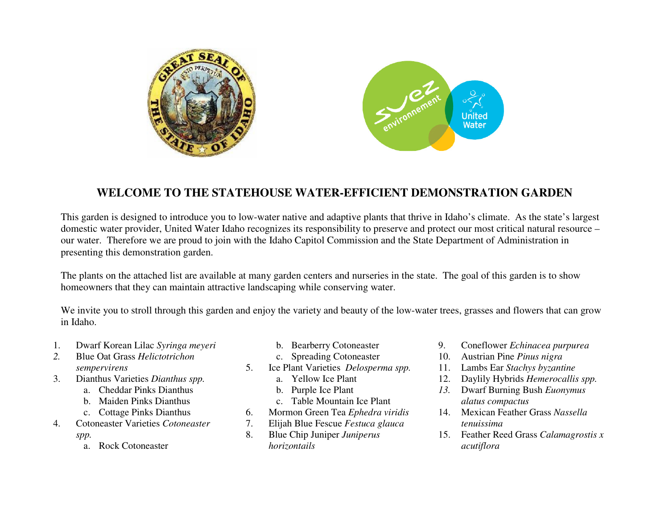

## **WELCOME TO THE STATEHOUSE WATER-EFFICIENT DEMONSTRATION GARDEN**

This garden is designed to introduce you to low-water native and adaptive plants that thrive in Idaho's climate. As the state's largest domestic water provider, United Water Idaho recognizes its responsibility to preserve and protect our most critical natural resource – our water. Therefore we are proud to join with the Idaho Capitol Commission and the State Department of Administration in presenting this demonstration garden.

The plants on the attached list are available at many garden centers and nurseries in the state. The goal of this garden is to show homeowners that they can maintain attractive landscaping while conserving water.

We invite you to stroll through this garden and enjoy the variety and beauty of the low-water trees, grasses and flowers that can grow in Idaho.

- 1.Dwarf Korean Lilac *Syringa meyeri*
- *2.* Blue Oat Grass *Helictotrichon sempervirens*
- Dianthus Varieties *Dianthus spp.* 3.
	- a. Cheddar Pinks Dianthus
	- b. Maiden Pinks Dianthus
	- c. Cottage Pinks Dianthus
- 4. Cotoneaster Varieties *Cotoneaster spp.*
	- a. Rock Cotoneaster
- b. Bearberry Cotoneaster
- c. Spreading Cotoneaster
- 5. Ice Plant Varieties *Delosperma spp.*
	- a. Yellow Ice Plant
	- b. Purple Ice Plant
	- c. Table Mountain Ice Plant
- 6.Mormon Green Tea *Ephedra viridis*
- Elijah Blue Fescue *Festuca glauca*7.
- 8. Blue Chip Juniper *Juniperus horizontails*
- 9.Coneflower *Echinacea purpurea*
- 10. Austrian Pine *Pinus nigra*
- Lambs Ear *Stachys byzantine*11.
- 12. Daylily Hybrids *Hemerocallis spp.*
- *13.* Dwarf Burning Bush *Euonymus alatus compactus*
- 14. Mexican Feather Grass *Nassella tenuissima*
- 15. Feather Reed Grass *Calamagrostis x acutiflora*